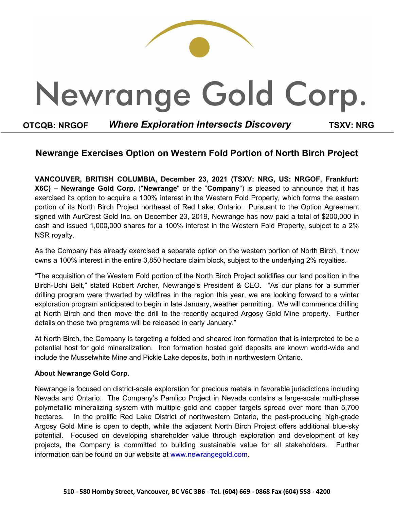

## **Newrange Exercises Option on Western Fold Portion of North Birch Project**

**VANCOUVER, BRITISH COLUMBIA, December 23, 2021 (TSXV: NRG, US: NRGOF, Frankfurt: X6C) – Newrange Gold Corp.** ("**Newrange**" or the "**Company**") is pleased to announce that it has exercised its option to acquire a 100% interest in the Western Fold Property, which forms the eastern portion of its North Birch Project northeast of Red Lake, Ontario. Pursuant to the Option Agreement signed with AurCrest Gold Inc. on December 23, 2019, Newrange has now paid a total of \$200,000 in cash and issued 1,000,000 shares for a 100% interest in the Western Fold Property, subject to a 2% NSR royalty.

As the Company has already exercised a separate option on the western portion of North Birch, it now owns a 100% interest in the entire 3,850 hectare claim block, subject to the underlying 2% royalties.

"The acquisition of the Western Fold portion of the North Birch Project solidifies our land position in the Birch-Uchi Belt," stated Robert Archer, Newrange's President & CEO. "As our plans for a summer drilling program were thwarted by wildfires in the region this year, we are looking forward to a winter exploration program anticipated to begin in late January, weather permitting. We will commence drilling at North Birch and then move the drill to the recently acquired Argosy Gold Mine property. Further details on these two programs will be released in early January."

At North Birch, the Company is targeting a folded and sheared iron formation that is interpreted to be a potential host for gold mineralization. Iron formation hosted gold deposits are known world-wide and include the Musselwhite Mine and Pickle Lake deposits, both in northwestern Ontario.

### **About Newrange Gold Corp.**

Newrange is focused on district-scale exploration for precious metals in favorable jurisdictions including Nevada and Ontario. The Company's Pamlico Project in Nevada contains a large-scale multi-phase polymetallic mineralizing system with multiple gold and copper targets spread over more than 5,700 hectares. In the prolific Red Lake District of northwestern Ontario, the past-producing high-grade Argosy Gold Mine is open to depth, while the adjacent North Birch Project offers additional blue-sky potential. Focused on developing shareholder value through exploration and development of key projects, the Company is committed to building sustainable value for all stakeholders. Further information can be found on our website at [www.newrangegold.com.](http://www.newrangegold.com/)